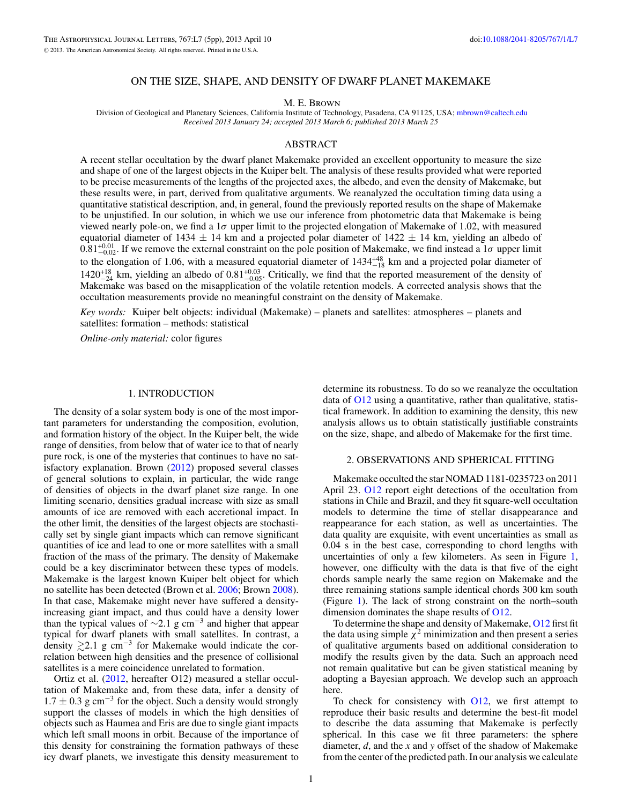# ON THE SIZE, SHAPE, AND DENSITY OF DWARF PLANET MAKEMAKE

M. E. Brown

Division of Geological and Planetary Sciences, California Institute of Technology, Pasadena, CA 91125, USA; [mbrown@caltech.edu](mailto:mbrown@caltech.edu) *Received 2013 January 24; accepted 2013 March 6; published 2013 March 25*

## ABSTRACT

A recent stellar occultation by the dwarf planet Makemake provided an excellent opportunity to measure the size and shape of one of the largest objects in the Kuiper belt. The analysis of these results provided what were reported to be precise measurements of the lengths of the projected axes, the albedo, and even the density of Makemake, but these results were, in part, derived from qualitative arguments. We reanalyzed the occultation timing data using a quantitative statistical description, and, in general, found the previously reported results on the shape of Makemake to be unjustified. In our solution, in which we use our inference from photometric data that Makemake is being viewed nearly pole-on, we find a 1*σ* upper limit to the projected elongation of Makemake of 1.02, with measured equatorial diameter of 1434  $\pm$  14 km and a projected polar diameter of 1422  $\pm$  14 km, yielding an albedo of  $0.81^{+0.01}_{-0.02}$ . If we remove the external constraint on the pole position of Makemake, we find instead a 1*σ* upper limit to the elongation of 1.06, with a measured equatorial diameter of  $1434^{+48}_{-18}$  km and a projected polar diameter of  $1420^{+18}_{-24}$  km, yielding an albedo of  $0.81^{+0.03}_{-0.05}$ . Critically, we find that the reported measurement of the density of Makemake was based on the misapplication of the volatile retention models. A corrected analysis shows that the occultation measurements provide no meaningful constraint on the density of Makemake.

*Key words:* Kuiper belt objects: individual (Makemake) – planets and satellites: atmospheres – planets and satellites: formation – methods: statistical

*Online-only material:* color figures

#### 1. INTRODUCTION

The density of a solar system body is one of the most important parameters for understanding the composition, evolution, and formation history of the object. In the Kuiper belt, the wide range of densities, from below that of water ice to that of nearly pure rock, is one of the mysteries that continues to have no satisfactory explanation. Brown [\(2012\)](#page-4-0) proposed several classes of general solutions to explain, in particular, the wide range of densities of objects in the dwarf planet size range. In one limiting scenario, densities gradual increase with size as small amounts of ice are removed with each accretional impact. In the other limit, the densities of the largest objects are stochastically set by single giant impacts which can remove significant quantities of ice and lead to one or more satellites with a small fraction of the mass of the primary. The density of Makemake could be a key discriminator between these types of models. Makemake is the largest known Kuiper belt object for which no satellite has been detected (Brown et al. [2006;](#page-4-0) Brown [2008\)](#page-4-0). In that case, Makemake might never have suffered a densityincreasing giant impact, and thus could have a density lower than the typical values of  $\sim$ 2.1 g cm<sup>-3</sup> and higher that appear typical for dwarf planets with small satellites. In contrast, a density  $\gtrsim$  2.1 g cm<sup>-3</sup> for Makemake would indicate the correlation between high densities and the presence of collisional satellites is a mere coincidence unrelated to formation.

Ortiz et al. [\(2012,](#page-4-0) hereafter O12) measured a stellar occultation of Makemake and, from these data, infer a density of  $1.7 \pm 0.3$  g cm<sup>-3</sup> for the object. Such a density would strongly support the classes of models in which the high densities of objects such as Haumea and Eris are due to single giant impacts which left small moons in orbit. Because of the importance of this density for constraining the formation pathways of these icy dwarf planets, we investigate this density measurement to

determine its robustness. To do so we reanalyze the occultation data of [O12](#page-4-0) using a quantitative, rather than qualitative, statistical framework. In addition to examining the density, this new analysis allows us to obtain statistically justifiable constraints on the size, shape, and albedo of Makemake for the first time.

#### 2. OBSERVATIONS AND SPHERICAL FITTING

Makemake occulted the star NOMAD 1181-0235723 on 2011 April 23. [O12](#page-4-0) report eight detections of the occultation from stations in Chile and Brazil, and they fit square-well occultation models to determine the time of stellar disappearance and reappearance for each station, as well as uncertainties. The data quality are exquisite, with event uncertainties as small as 0.04 s in the best case, corresponding to chord lengths with uncertainties of only a few kilometers. As seen in Figure [1,](#page-1-0) however, one difficulty with the data is that five of the eight chords sample nearly the same region on Makemake and the three remaining stations sample identical chords 300 km south (Figure [1\)](#page-1-0). The lack of strong constraint on the north–south dimension dominates the shape results of [O12.](#page-4-0)

To determine the shape and density of Makemake, [O12](#page-4-0) first fit the data using simple  $\chi^2$  minimization and then present a series of qualitative arguments based on additional consideration to modify the results given by the data. Such an approach need not remain qualitative but can be given statistical meaning by adopting a Bayesian approach. We develop such an approach here.

To check for consistency with  $O12$ , we first attempt to reproduce their basic results and determine the best-fit model to describe the data assuming that Makemake is perfectly spherical. In this case we fit three parameters: the sphere diameter, *d*, and the *x* and *y* offset of the shadow of Makemake from the center of the predicted path. In our analysis we calculate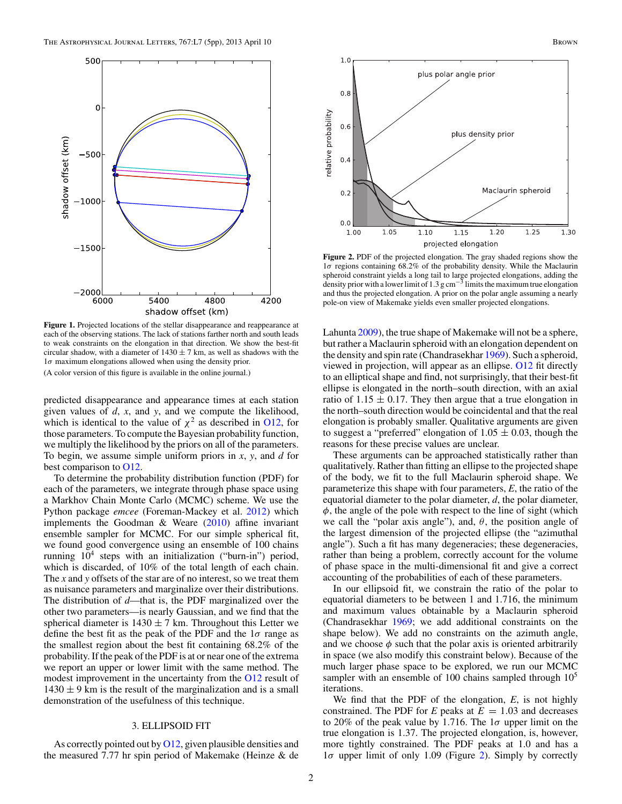<span id="page-1-0"></span>

Figure 1. Projected locations of the stellar disappearance and reappearance at each of the observing stations. The lack of stations farther north and south leads to weak constraints on the elongation in that direction. We show the best-fit circular shadow, with a diameter of  $1430 \pm 7$  km, as well as shadows with the 1*σ* maximum elongations allowed when using the density prior. (A color version of this figure is available in the online journal.)

predicted disappearance and appearance times at each station given values of *d*, *x*, and *y*, and we compute the likelihood, which is identical to the value of  $\chi^2$  as described in [O12,](#page-4-0) for those parameters. To compute the Bayesian probability function, we multiply the likelihood by the priors on all of the parameters. To begin, we assume simple uniform priors in *x*, *y*, and *d* for best comparison to [O12.](#page-4-0)

To determine the probability distribution function (PDF) for each of the parameters, we integrate through phase space using a Markhov Chain Monte Carlo (MCMC) scheme. We use the Python package *emcee* (Foreman-Mackey et al. [2012\)](#page-4-0) which implements the Goodman & Weare [\(2010\)](#page-4-0) affine invariant ensemble sampler for MCMC. For our simple spherical fit, we found good convergence using an ensemble of 100 chains running  $10^4$  steps with an initialization ("burn-in") period, which is discarded, of 10% of the total length of each chain. The *x* and *y* offsets of the star are of no interest, so we treat them as nuisance parameters and marginalize over their distributions. The distribution of *d*—that is, the PDF marginalized over the other two parameters—is nearly Gaussian, and we find that the spherical diameter is  $1430 \pm 7$  km. Throughout this Letter we define the best fit as the peak of the PDF and the 1*σ* range as the smallest region about the best fit containing 68.2% of the probability. If the peak of the PDF is at or near one of the extrema we report an upper or lower limit with the same method. The modest improvement in the uncertainty from the [O12](#page-4-0) result of  $1430 \pm 9$  km is the result of the marginalization and is a small demonstration of the usefulness of this technique.

# 3. ELLIPSOID FIT

As correctly pointed out by  $O(12)$ , given plausible densities and the measured 7.77 hr spin period of Makemake (Heinze & de



**Figure 2.** PDF of the projected elongation. The gray shaded regions show the 1*σ* regions containing 68.2% of the probability density. While the Maclaurin spheroid constraint yields a long tail to large projected elongations, adding the density prior with a lower limit of 1.3 g cm<sup>-3</sup> limits the maximum true elongation and thus the projected elongation. A prior on the polar angle assuming a nearly pole-on view of Makemake yields even smaller projected elongations.

Lahunta [2009\)](#page-4-0), the true shape of Makemake will not be a sphere, but rather a Maclaurin spheroid with an elongation dependent on the density and spin rate (Chandrasekhar [1969\)](#page-4-0). Such a spheroid, viewed in projection, will appear as an ellipse. [O12](#page-4-0) fit directly to an elliptical shape and find, not surprisingly, that their best-fit ellipse is elongated in the north–south direction, with an axial ratio of 1.15  $\pm$  0.17. They then argue that a true elongation in the north–south direction would be coincidental and that the real elongation is probably smaller. Qualitative arguments are given to suggest a "preferred" elongation of  $1.05 \pm 0.03$ , though the reasons for these precise values are unclear.

These arguments can be approached statistically rather than qualitatively. Rather than fitting an ellipse to the projected shape of the body, we fit to the full Maclaurin spheroid shape. We parameterize this shape with four parameters, *E*, the ratio of the equatorial diameter to the polar diameter, *d*, the polar diameter, *φ*, the angle of the pole with respect to the line of sight (which we call the "polar axis angle"), and,  $\theta$ , the position angle of the largest dimension of the projected ellipse (the "azimuthal angle"). Such a fit has many degeneracies; these degeneracies, rather than being a problem, correctly account for the volume of phase space in the multi-dimensional fit and give a correct accounting of the probabilities of each of these parameters.

In our ellipsoid fit, we constrain the ratio of the polar to equatorial diameters to be between 1 and 1.716, the minimum and maximum values obtainable by a Maclaurin spheroid (Chandrasekhar [1969;](#page-4-0) we add additional constraints on the shape below). We add no constraints on the azimuth angle, and we choose  $\phi$  such that the polar axis is oriented arbitrarily in space (we also modify this constraint below). Because of the much larger phase space to be explored, we run our MCMC sampler with an ensemble of 100 chains sampled through  $10<sup>5</sup>$ iterations.

We find that the PDF of the elongation, *E*, is not highly constrained. The PDF for  $E$  peaks at  $E = 1.03$  and decreases to 20% of the peak value by 1.716. The 1*σ* upper limit on the true elongation is 1.37. The projected elongation, is, however, more tightly constrained. The PDF peaks at 1.0 and has a 1*σ* upper limit of only 1.09 (Figure 2). Simply by correctly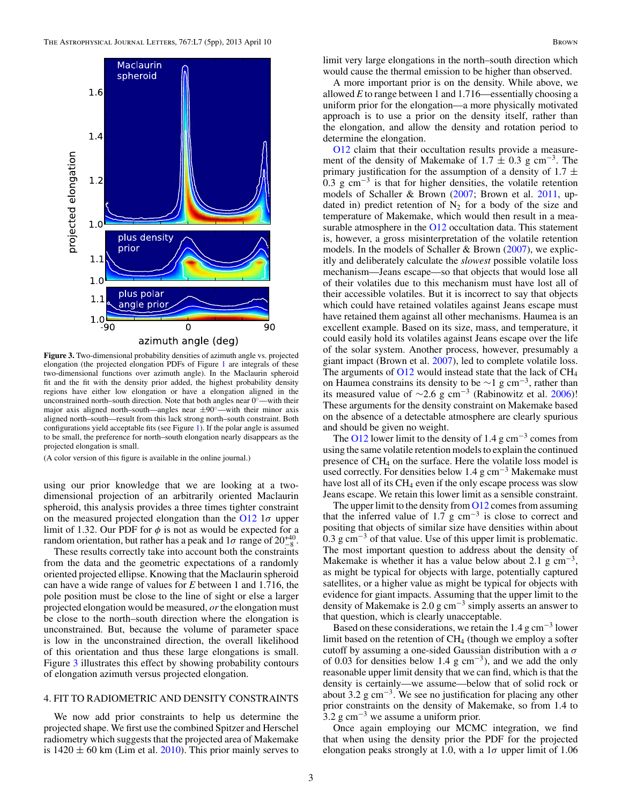

**Figure 3.** Two-dimensional probability densities of azimuth angle vs. projected elongation (the projected elongation PDFs of Figure [1](#page-1-0) are integrals of these two-dimensional functions over azimuth angle). In the Maclaurin spheroid fit and the fit with the density prior added, the highest probability density regions have either low elongation or have a elongation aligned in the unconstrained north–south direction. Note that both angles near 0◦—with their major axis aligned north–south—angles near  $\pm 90^\circ$ —with their minor axis aligned north–south—result from this lack strong north–south constraint. Both configurations yield acceptable fits (see Figure [1\)](#page-1-0). If the polar angle is assumed to be small, the preference for north–south elongation nearly disappears as the projected elongation is small.

(A color version of this figure is available in the online journal.)

using our prior knowledge that we are looking at a twodimensional projection of an arbitrarily oriented Maclaurin spheroid, this analysis provides a three times tighter constraint on the measured projected elongation than the [O12](#page-4-0) 1*σ* upper limit of 1.32. Our PDF for  $\phi$  is not as would be expected for a random orientation, but rather has a peak and  $1\sigma$  range of  $20^{+40}_{-8}$ .

These results correctly take into account both the constraints from the data and the geometric expectations of a randomly oriented projected ellipse. Knowing that the Maclaurin spheroid can have a wide range of values for *E* between 1 and 1.716, the pole position must be close to the line of sight or else a larger projected elongation would be measured, *or*the elongation must be close to the north–south direction where the elongation is unconstrained. But, because the volume of parameter space is low in the unconstrained direction, the overall likelihood of this orientation and thus these large elongations is small. Figure 3 illustrates this effect by showing probability contours of elongation azimuth versus projected elongation.

# 4. FIT TO RADIOMETRIC AND DENSITY CONSTRAINTS

We now add prior constraints to help us determine the projected shape. We first use the combined Spitzer and Herschel radiometry which suggests that the projected area of Makemake is  $1420 \pm 60$  km (Lim et al. [2010\)](#page-4-0). This prior mainly serves to limit very large elongations in the north–south direction which would cause the thermal emission to be higher than observed.

A more important prior is on the density. While above, we allowed *E* to range between 1 and 1.716—essentially choosing a uniform prior for the elongation—a more physically motivated approach is to use a prior on the density itself, rather than the elongation, and allow the density and rotation period to determine the elongation.

[O12](#page-4-0) claim that their occultation results provide a measurement of the density of Makemake of  $1.7 \pm 0.3$  g cm<sup>-3</sup>. The primary justification for the assumption of a density of 1.7  $\pm$ 0.3 g cm<sup>-3</sup> is that for higher densities, the volatile retention models of Schaller & Brown [\(2007;](#page-4-0) Brown et al. [2011,](#page-4-0) updated in) predict retention of  $N_2$  for a body of the size and temperature of Makemake, which would then result in a mea-surable atmosphere in the [O12](#page-4-0) occultation data. This statement is, however, a gross misinterpretation of the volatile retention models. In the models of Schaller & Brown [\(2007\)](#page-4-0), we explicitly and deliberately calculate the *slowest* possible volatile loss mechanism—Jeans escape—so that objects that would lose all of their volatiles due to this mechanism must have lost all of their accessible volatiles. But it is incorrect to say that objects which could have retained volatiles against Jeans escape must have retained them against all other mechanisms. Haumea is an excellent example. Based on its size, mass, and temperature, it could easily hold its volatiles against Jeans escape over the life of the solar system. Another process, however, presumably a giant impact (Brown et al. [2007\)](#page-4-0), led to complete volatile loss. The arguments of  $O12$  would instead state that the lack of  $CH<sub>4</sub>$ on Haumea constrains its density to be  $\sim$ 1 g cm<sup>-3</sup>, rather than its measured value of  $\sim$ 2.6 g cm<sup>-3</sup> (Rabinowitz et al. [2006\)](#page-4-0)! These arguments for the density constraint on Makemake based on the absence of a detectable atmosphere are clearly spurious and should be given no weight.

The [O12](#page-4-0) lower limit to the density of 1.4 g cm<sup>-3</sup> comes from using the same volatile retention models to explain the continued presence of CH4 on the surface. Here the volatile loss model is used correctly. For densities below 1.4 g cm<sup>-3</sup> Makemake must have lost all of its  $CH_4$  even if the only escape process was slow Jeans escape. We retain this lower limit as a sensible constraint.

The upper limit to the density from  $O12$  comes from assuming that the inferred value of 1.7  $g \text{ cm}^{-3}$  is close to correct and positing that objects of similar size have densities within about 0.3 g cm<sup> $-3$ </sup> of that value. Use of this upper limit is problematic. The most important question to address about the density of Makemake is whether it has a value below about 2.1 g  $cm^{-3}$ , as might be typical for objects with large, potentially captured satellites, or a higher value as might be typical for objects with evidence for giant impacts. Assuming that the upper limit to the density of Makemake is 2.0 g cm<sup>-3</sup> simply asserts an answer to that question, which is clearly unacceptable.

Based on these considerations, we retain the  $1.4 \text{ g cm}^{-3}$  lower limit based on the retention of  $CH<sub>4</sub>$  (though we employ a softer cutoff by assuming a one-sided Gaussian distribution with a *σ* of 0.03 for densities below 1.4 g  $cm^{-3}$ ), and we add the only reasonable upper limit density that we can find, which is that the density is certainly—we assume—below that of solid rock or about 3.2 g cm<sup>-3</sup>. We see no justification for placing any other prior constraints on the density of Makemake, so from 1.4 to  $3.2$  g cm<sup>-3</sup> we assume a uniform prior.

Once again employing our MCMC integration, we find that when using the density prior the PDF for the projected elongation peaks strongly at 1.0, with a 1*σ* upper limit of 1.06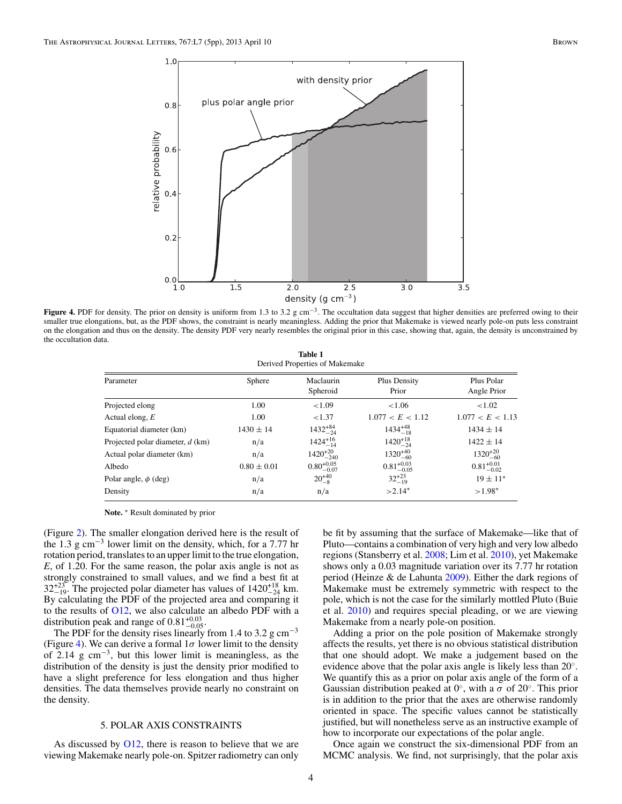<span id="page-3-0"></span>

**Figure 4.** PDF for density. The prior on density is uniform from 1.3 to 3.2 g cm−3. The occultation data suggest that higher densities are preferred owing to their smaller true elongations, but, as the PDF shows, the constraint is nearly meaningless. Adding the prior that Makemake is viewed nearly pole-on puts less constraint on the elongation and thus on the density. The density PDF very nearly resembles the original prior in this case, showing that, again, the density is unconstrained by the occultation data.

| <b>Table 1</b>                 |  |
|--------------------------------|--|
| Derived Properties of Makemake |  |

| Parameter                        | Sphere          | Maclaurin<br>Spheroid  | Plus Density<br>Prior  | Plus Polar<br>Angle Prior |
|----------------------------------|-----------------|------------------------|------------------------|---------------------------|
| Projected elong                  | 1.00            | ${<}1.09$              | ${<}1.06$              | ${<}1.02$                 |
| Actual elong, $E$                | 1.00            | < 1.37                 | 1.077 < E < 1.12       | 1.077 < E < 1.13          |
| Equatorial diameter (km)         | $1430 \pm 14$   | $1432^{+84}_{-24}$     | $1434_{-18}^{+48}$     | $1434 \pm 14$             |
| Projected polar diameter, d (km) | n/a             | $1424^{+16}_{-14}$     | $1420^{+18}_{-24}$     | $1422 \pm 14$             |
| Actual polar diameter (km)       | n/a             | $1420^{+20}_{-240}$    | $1320^{+40}_{-60}$     | $1320^{+20}_{-60}$        |
| Albedo                           | $0.80 \pm 0.01$ | $0.80^{+0.05}_{-0.07}$ | $0.81^{+0.03}_{-0.05}$ | $0.81^{+0.01}_{-0.02}$    |
| Polar angle, $\phi$ (deg)        | n/a             | $20^{+40}_{-8}$        | $32^{+23}_{-19}$       | $19 \pm 11^*$             |
| Density                          | n/a             | n/a                    | $>2.14*$               | $>1.98*$                  |

**Note.** ∗ Result dominated by prior

(Figure [2\)](#page-1-0). The smaller elongation derived here is the result of the 1.3 g cm<sup>-3</sup> lower limit on the density, which, for a 7.77 hr rotation period, translates to an upper limit to the true elongation, *E*, of 1.20. For the same reason, the polar axis angle is not as strongly constrained to small values, and we find a best fit at  $32^{+23}_{-19}$ . The projected polar diameter has values of  $1420^{+18}_{-24}$  km. By calculating the PDF of the projected area and comparing it to the results of [O12,](#page-4-0) we also calculate an albedo PDF with a distribution peak and range of  $0.81^{+0.03}_{-0.05}$ .

The PDF for the density rises linearly from 1.4 to 3.2 g cm<sup>-3</sup> (Figure 4). We can derive a formal  $1\sigma$  lower limit to the density of 2.14 g  $\text{cm}^{-3}$ , but this lower limit is meaningless, as the distribution of the density is just the density prior modified to have a slight preference for less elongation and thus higher densities. The data themselves provide nearly no constraint on the density.

### 5. POLAR AXIS CONSTRAINTS

As discussed by  $O12$ , there is reason to believe that we are viewing Makemake nearly pole-on. Spitzer radiometry can only

be fit by assuming that the surface of Makemake—like that of Pluto—contains a combination of very high and very low albedo regions (Stansberry et al. [2008;](#page-4-0) Lim et al. [2010\)](#page-4-0), yet Makemake shows only a 0.03 magnitude variation over its 7.77 hr rotation period (Heinze & de Lahunta [2009\)](#page-4-0). Either the dark regions of Makemake must be extremely symmetric with respect to the pole, which is not the case for the similarly mottled Pluto (Buie et al. [2010\)](#page-4-0) and requires special pleading, or we are viewing Makemake from a nearly pole-on position.

Adding a prior on the pole position of Makemake strongly affects the results, yet there is no obvious statistical distribution that one should adopt. We make a judgement based on the evidence above that the polar axis angle is likely less than 20◦. We quantify this as a prior on polar axis angle of the form of a Gaussian distribution peaked at  $0^\circ$ , with a  $\sigma$  of  $20^\circ$ . This prior is in addition to the prior that the axes are otherwise randomly oriented in space. The specific values cannot be statistically justified, but will nonetheless serve as an instructive example of how to incorporate our expectations of the polar angle.

Once again we construct the six-dimensional PDF from an MCMC analysis. We find, not surprisingly, that the polar axis